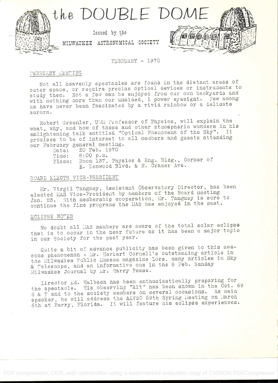

FEBRUARY - 1970

# FEBRUARY MEETING

Not all heavenly spectacles are found in the distant areas of outer space, or require precise optical devices or instruments to study them. Not a few can be enjoyed from our own backyards and with nothing more than our unaided, 1 power eyesight. Few among us have never been fascinated by a vivid rainbow or a delicate aurora.

Robert Greenler, UMM Professor of Physics, will explain the what, why, and how of these and other atmospheric wonders in his enlightening talk entitled "Optical Phenomena of the Sky". It promises to be of interest to all members and guests attending our February general meeting.

20 Feb. 1970 Date: Time: 8:00 p.m. Place: Room 137, Physics & Eng. Bldg., Corner of E. Kenwood Blvd. & N. Cramer Ave.

# BOARD ELECTS VICE-PRESIDENT

Mr. Virgil Tangney, Assistant Observatory Director, has been elected MAS Vice-President by members of the Board meeting Jan. 23. With membership cooperation, Mr. Tangney is sure to continue the fine programs the MAS has enjoyed in the past.

#### ECLIPSE NOTES

No doubt all MAS members are aware of the total solar eclipse that is to occur in the near future as it has been a major topic in our Society for the past year.

Quite a bit of advance publicity has been given to this awesome phenomenon - Mr. Herbert Cornell's outstanding article in the Milwaukee Public Museum magazine Lore, many articles in Sky & Telescope, and an informative one in the 8 Feb. Sunday Milwaukee Journal by Mr. Harry Pease.

Director Ed. Halbach has been enthusiastically preparing for the spectacle. His observing "kit" has been shown in the Oct. 69 S & T and to the society members on several occasions. As main speaker, he will address the AAVSO 59th Spring Meeting on March 6th at Perry, Florida. It will feature his eclipse experiences.